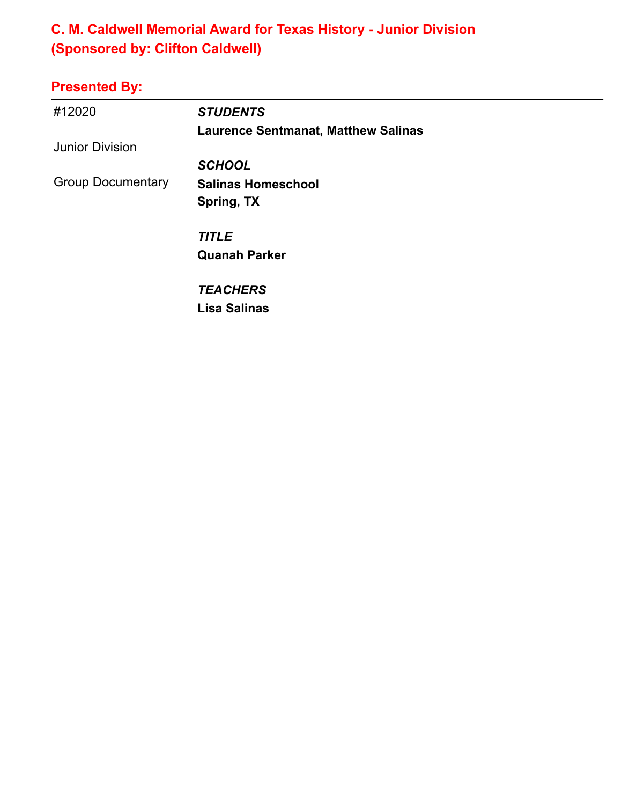### **C. M. Caldwell Memorial Award for Texas History - Junior Division (Sponsored by: Clifton Caldwell)**

| #12020                   | <b>STUDENTS</b>                            |
|--------------------------|--------------------------------------------|
|                          | <b>Laurence Sentmanat, Matthew Salinas</b> |
| <b>Junior Division</b>   |                                            |
|                          | <b>SCHOOL</b>                              |
| <b>Group Documentary</b> | <b>Salinas Homeschool</b>                  |
|                          | Spring, TX                                 |
|                          | <b>TITLE</b>                               |
|                          | <b>Quanah Parker</b>                       |
|                          | <b>TEACHERS</b>                            |
|                          | Lisa Salinas                               |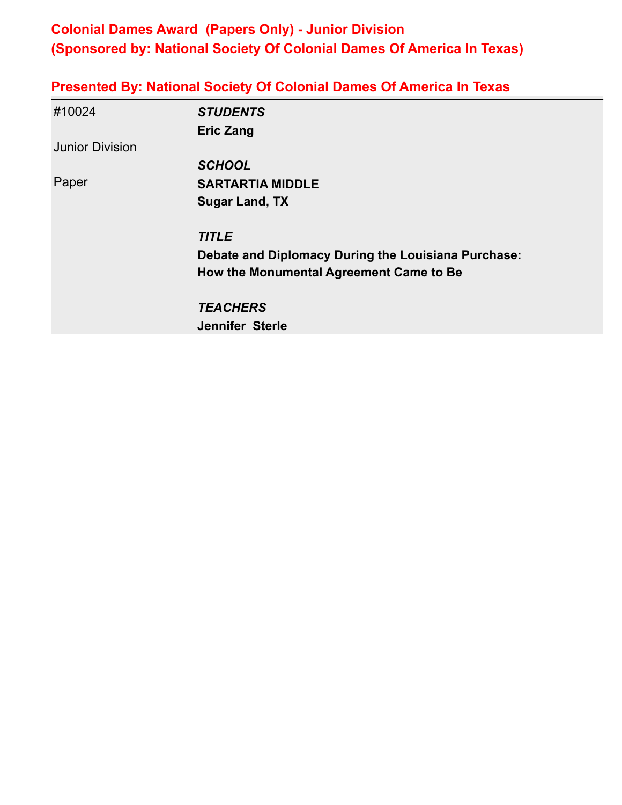### **Colonial Dames Award (Papers Only) - Junior Division (Sponsored by: National Society Of Colonial Dames Of America In Texas)**

|  | <b>Presented By: National Society Of Colonial Dames Of America In Texas</b> |  |
|--|-----------------------------------------------------------------------------|--|
|  |                                                                             |  |

| #10024                 | <b>STUDENTS</b>                                     |
|------------------------|-----------------------------------------------------|
|                        | <b>Eric Zang</b>                                    |
| <b>Junior Division</b> |                                                     |
|                        | <b>SCHOOL</b>                                       |
| Paper                  | <b>SARTARTIA MIDDLE</b>                             |
|                        | <b>Sugar Land, TX</b>                               |
|                        | <b>TITLE</b>                                        |
|                        | Debate and Diplomacy During the Louisiana Purchase: |
|                        | How the Monumental Agreement Came to Be             |
|                        | <b>TEACHERS</b>                                     |
|                        | <b>Jennifer Sterle</b>                              |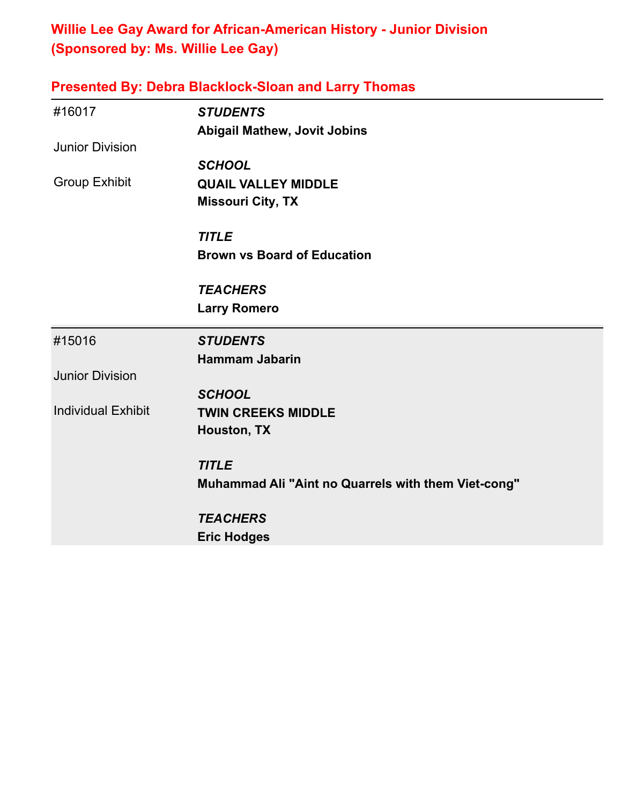### **Willie Lee Gay Award for African-American History - Junior Division (Sponsored by: Ms. Willie Lee Gay)**

|  | <b>Presented By: Debra Blacklock-Sloan and Larry Thomas</b> |  |  |
|--|-------------------------------------------------------------|--|--|
|  |                                                             |  |  |

| #16017                    | <b>STUDENTS</b><br><b>Abigail Mathew, Jovit Jobins</b> |
|---------------------------|--------------------------------------------------------|
| <b>Junior Division</b>    |                                                        |
|                           | <b>SCHOOL</b>                                          |
| <b>Group Exhibit</b>      | <b>QUAIL VALLEY MIDDLE</b><br><b>Missouri City, TX</b> |
|                           | <b>TITLE</b>                                           |
|                           | <b>Brown vs Board of Education</b>                     |
|                           | <b>TEACHERS</b>                                        |
|                           | <b>Larry Romero</b>                                    |
| #15016                    | <b>STUDENTS</b>                                        |
|                           | <b>Hammam Jabarin</b>                                  |
| <b>Junior Division</b>    |                                                        |
|                           | <b>SCHOOL</b>                                          |
| <b>Individual Exhibit</b> | <b>TWIN CREEKS MIDDLE</b>                              |
|                           | Houston, TX                                            |
|                           | <b>TITLE</b>                                           |
|                           | Muhammad Ali "Aint no Quarrels with them Viet-cong"    |
|                           | <b>TEACHERS</b>                                        |
|                           | <b>Eric Hodges</b>                                     |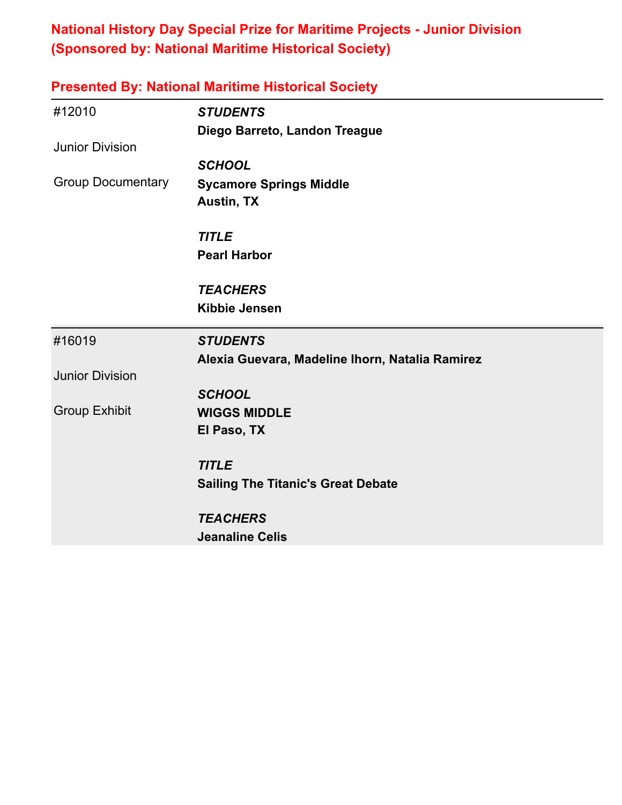### **National History Day Special Prize for Maritime Projects - Junior Division (Sponsored by: National Maritime Historical Society)**

| <b>Presented By: National Maritime Historical Society</b> |                                                 |  |
|-----------------------------------------------------------|-------------------------------------------------|--|
| #12010                                                    | <b>STUDENTS</b>                                 |  |
|                                                           | Diego Barreto, Landon Treague                   |  |
| <b>Junior Division</b>                                    |                                                 |  |
|                                                           | <b>SCHOOL</b>                                   |  |
| <b>Group Documentary</b>                                  | <b>Sycamore Springs Middle</b>                  |  |
|                                                           | <b>Austin, TX</b>                               |  |
|                                                           | <b>TITLE</b>                                    |  |
|                                                           | <b>Pearl Harbor</b>                             |  |
|                                                           | <b>TEACHERS</b>                                 |  |
|                                                           | <b>Kibbie Jensen</b>                            |  |
| #16019                                                    | <b>STUDENTS</b>                                 |  |
|                                                           | Alexia Guevara, Madeline Ihorn, Natalia Ramirez |  |
| <b>Junior Division</b>                                    |                                                 |  |
|                                                           | <b>SCHOOL</b>                                   |  |
| <b>Group Exhibit</b>                                      | <b>WIGGS MIDDLE</b>                             |  |
|                                                           | El Paso, TX                                     |  |
|                                                           | <b>TITLE</b>                                    |  |
|                                                           | <b>Sailing The Titanic's Great Debate</b>       |  |
|                                                           | <b>TEACHERS</b>                                 |  |
|                                                           | <b>Jeanaline Celis</b>                          |  |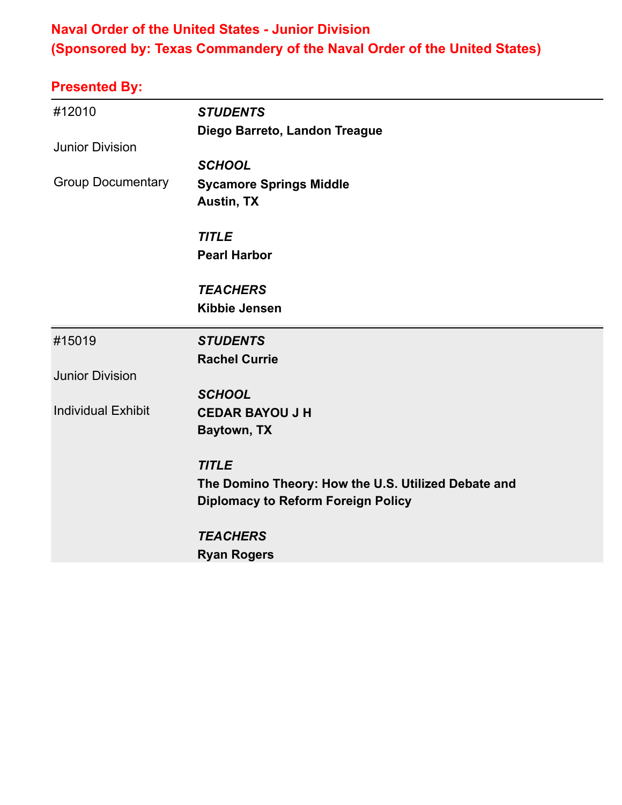### **Naval Order of the United States - Junior Division (Sponsored by: Texas Commandery of the Naval Order of the United States)**

| #12010                    | <b>STUDENTS</b>                                     |
|---------------------------|-----------------------------------------------------|
|                           | Diego Barreto, Landon Treague                       |
| <b>Junior Division</b>    |                                                     |
|                           | <b>SCHOOL</b>                                       |
| <b>Group Documentary</b>  | <b>Sycamore Springs Middle</b>                      |
|                           | <b>Austin, TX</b>                                   |
|                           | <b>TITLE</b>                                        |
|                           | <b>Pearl Harbor</b>                                 |
|                           | <b>TEACHERS</b>                                     |
|                           | <b>Kibbie Jensen</b>                                |
| #15019                    | <b>STUDENTS</b>                                     |
|                           | <b>Rachel Currie</b>                                |
| <b>Junior Division</b>    |                                                     |
|                           | <b>SCHOOL</b>                                       |
| <b>Individual Exhibit</b> | <b>CEDAR BAYOU J H</b>                              |
|                           | Baytown, TX                                         |
|                           |                                                     |
|                           | <b>TITLE</b>                                        |
|                           | The Domino Theory: How the U.S. Utilized Debate and |
|                           | <b>Diplomacy to Reform Foreign Policy</b>           |
|                           | <b>TEACHERS</b>                                     |
|                           | <b>Ryan Rogers</b>                                  |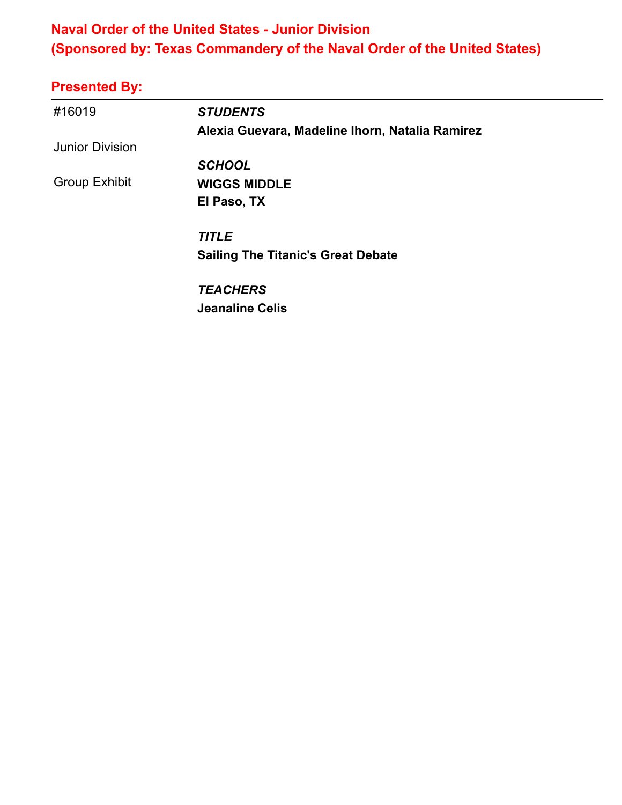### **Naval Order of the United States - Junior Division (Sponsored by: Texas Commandery of the Naval Order of the United States)**

| #16019                 | <b>STUDENTS</b>                                 |
|------------------------|-------------------------------------------------|
|                        | Alexia Guevara, Madeline Ihorn, Natalia Ramirez |
| <b>Junior Division</b> |                                                 |
|                        | <b>SCHOOL</b>                                   |
| <b>Group Exhibit</b>   | <b>WIGGS MIDDLE</b>                             |
|                        | El Paso, TX                                     |
|                        | <b>TITLE</b>                                    |
|                        | <b>Sailing The Titanic's Great Debate</b>       |
|                        | <b>TEACHERS</b>                                 |
|                        | <b>Jeanaline Celis</b>                          |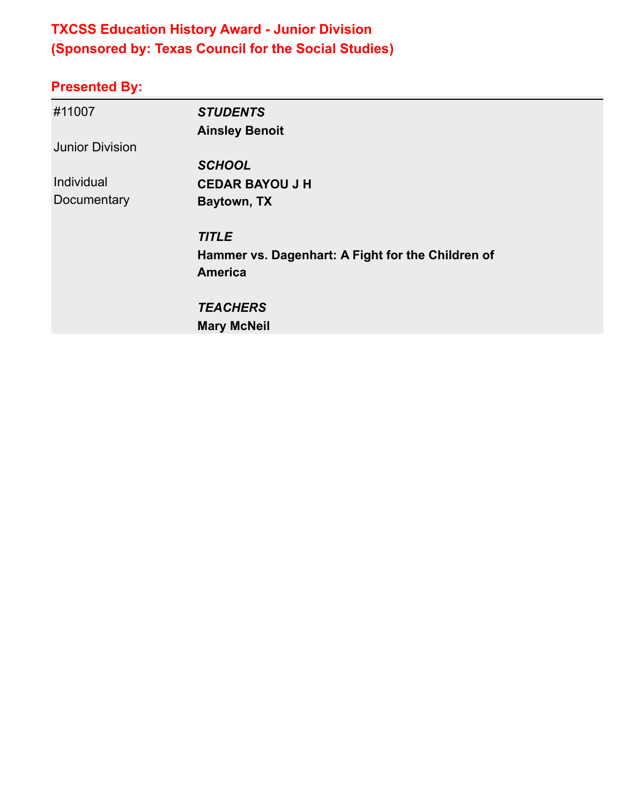# **TXCSS Education History Award - Junior Division (Sponsored by: Texas Council for the Social Studies)**

| #11007                 | <b>STUDENTS</b>                                   |
|------------------------|---------------------------------------------------|
|                        | <b>Ainsley Benoit</b>                             |
| <b>Junior Division</b> |                                                   |
|                        | <b>SCHOOL</b>                                     |
| Individual             | <b>CEDAR BAYOU J H</b>                            |
| Documentary            | Baytown, TX                                       |
|                        | <b>TITLE</b>                                      |
|                        | Hammer vs. Dagenhart: A Fight for the Children of |
|                        | <b>America</b>                                    |
|                        | <b>TEACHERS</b>                                   |
|                        | <b>Mary McNeil</b>                                |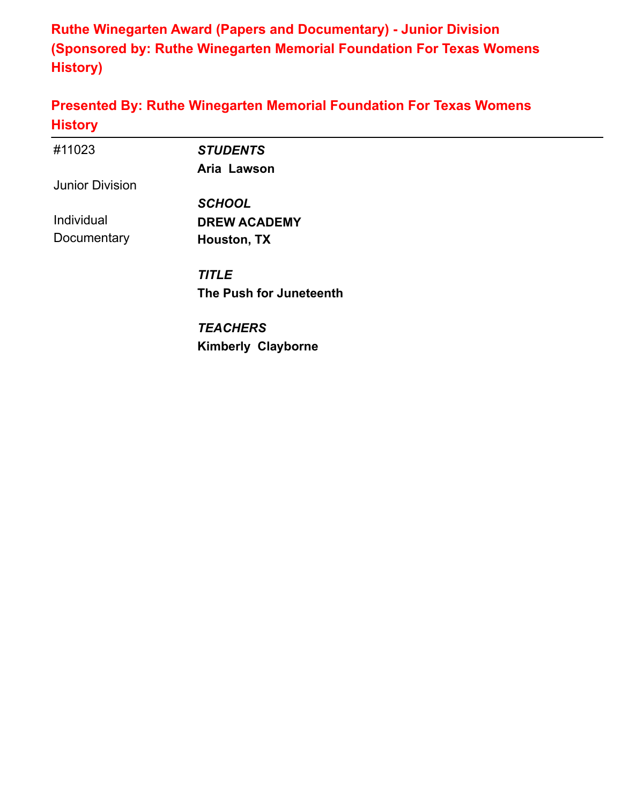**Ruthe Winegarten Award (Papers and Documentary) - Junior Division (Sponsored by: Ruthe Winegarten Memorial Foundation For Texas Womens History)**

#### **Presented By: Ruthe Winegarten Memorial Foundation For Texas Womens History**

| #11023                 | <b>STUDENTS</b>           |  |
|------------------------|---------------------------|--|
|                        | Aria Lawson               |  |
| <b>Junior Division</b> |                           |  |
|                        | <b>SCHOOL</b>             |  |
| Individual             | <b>DREW ACADEMY</b>       |  |
| Documentary            | Houston, TX               |  |
|                        | <b>TITLE</b>              |  |
|                        | The Push for Juneteenth   |  |
|                        | <b>TEACHERS</b>           |  |
|                        | <b>Kimberly Clayborne</b> |  |
|                        |                           |  |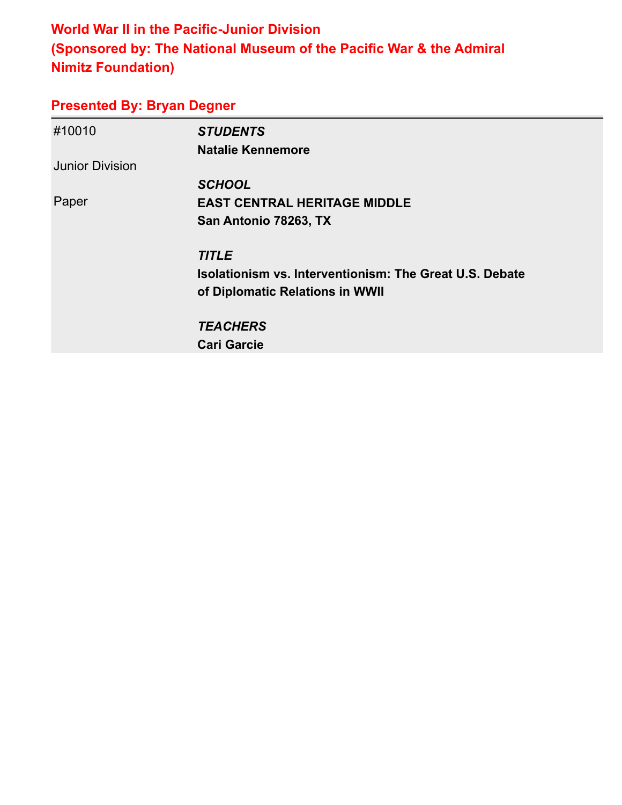### **World War II in the Pacific-Junior Division (Sponsored by: The National Museum of the Pacific War & the Admiral Nimitz Foundation)**

#### **Presented By: Bryan Degner**

| #10010                 | <b>STUDENTS</b>                                                |
|------------------------|----------------------------------------------------------------|
|                        | <b>Natalie Kennemore</b>                                       |
| <b>Junior Division</b> |                                                                |
|                        | <b>SCHOOL</b>                                                  |
| Paper                  | <b>EAST CENTRAL HERITAGE MIDDLE</b>                            |
|                        | San Antonio 78263, TX                                          |
|                        | <b>TITLE</b>                                                   |
|                        | <b>Isolationism vs. Interventionism: The Great U.S. Debate</b> |
|                        | of Diplomatic Relations in WWII                                |
|                        | <b>TEACHERS</b>                                                |
|                        | <b>Cari Garcie</b>                                             |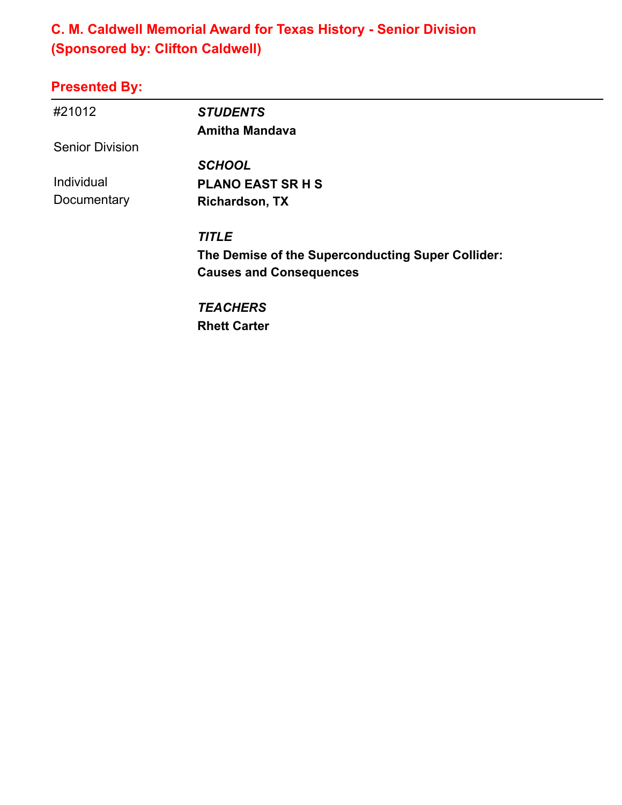### **C. M. Caldwell Memorial Award for Texas History - Senior Division (Sponsored by: Clifton Caldwell)**

| #21012                 | <b>STUDENTS</b>                                   |
|------------------------|---------------------------------------------------|
|                        | <b>Amitha Mandava</b>                             |
| <b>Senior Division</b> |                                                   |
|                        | <b>SCHOOL</b>                                     |
| Individual             | <b>PLANO EAST SR H S</b>                          |
| Documentary            | <b>Richardson, TX</b>                             |
|                        | <b>TITLE</b>                                      |
|                        | The Demise of the Superconducting Super Collider: |
|                        | <b>Causes and Consequences</b>                    |
|                        | <b>TEACHERS</b>                                   |
|                        | <b>Rhett Carter</b>                               |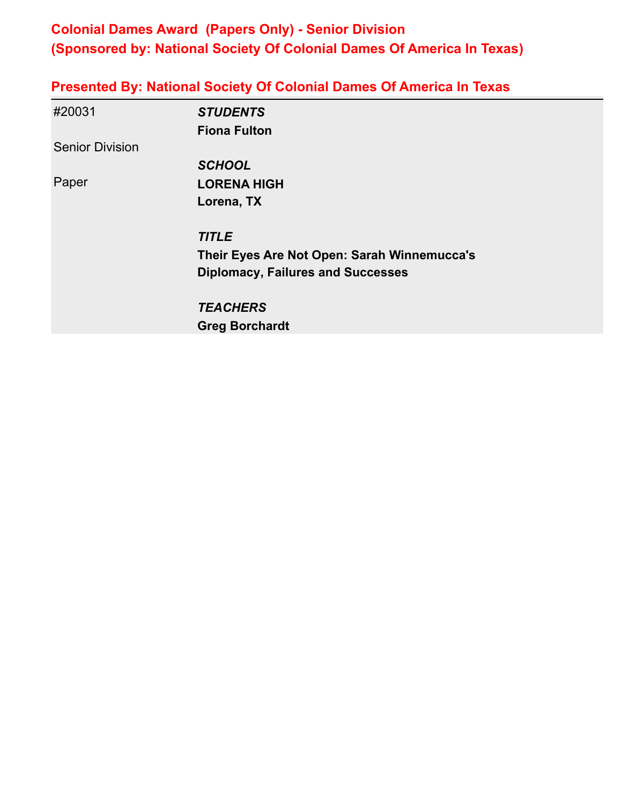### **Colonial Dames Award (Papers Only) - Senior Division (Sponsored by: National Society Of Colonial Dames Of America In Texas)**

| <b>Presented By: National Society Of Colonial Dames Of America In Texas</b> |
|-----------------------------------------------------------------------------|
|-----------------------------------------------------------------------------|

| #20031                 | <b>STUDENTS</b>                             |
|------------------------|---------------------------------------------|
|                        | <b>Fiona Fulton</b>                         |
| <b>Senior Division</b> |                                             |
|                        | <b>SCHOOL</b>                               |
| Paper                  | <b>LORENA HIGH</b>                          |
|                        | Lorena, TX                                  |
|                        | <b>TITLE</b>                                |
|                        | Their Eyes Are Not Open: Sarah Winnemucca's |
|                        | <b>Diplomacy, Failures and Successes</b>    |
|                        | <b>TEACHERS</b>                             |
|                        | <b>Greg Borchardt</b>                       |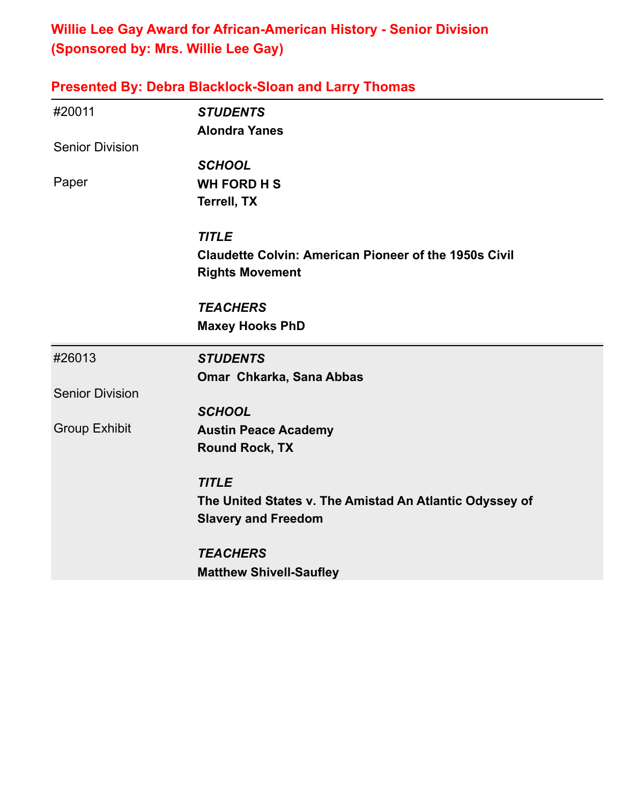### **Willie Lee Gay Award for African-American History - Senior Division (Sponsored by: Mrs. Willie Lee Gay)**

|                        | <b>Presented By: Debra Blacklock-Sloan and Larry Thomas</b>  |
|------------------------|--------------------------------------------------------------|
| #20011                 | <b>STUDENTS</b>                                              |
|                        | <b>Alondra Yanes</b>                                         |
| <b>Senior Division</b> |                                                              |
|                        | <b>SCHOOL</b>                                                |
| Paper                  | <b>WH FORD H S</b>                                           |
|                        | <b>Terrell, TX</b>                                           |
|                        | <b>TITLE</b>                                                 |
|                        | <b>Claudette Colvin: American Pioneer of the 1950s Civil</b> |
|                        | <b>Rights Movement</b>                                       |
|                        | <b>TEACHERS</b>                                              |
|                        | <b>Maxey Hooks PhD</b>                                       |
| #26013                 | <b>STUDENTS</b>                                              |
|                        | Omar Chkarka, Sana Abbas                                     |
| <b>Senior Division</b> |                                                              |
|                        | <b>SCHOOL</b>                                                |
| <b>Group Exhibit</b>   | <b>Austin Peace Academy</b>                                  |
|                        | <b>Round Rock, TX</b>                                        |
|                        | <b>TITLE</b>                                                 |
|                        | The United States v. The Amistad An Atlantic Odyssey of      |
|                        | <b>Slavery and Freedom</b>                                   |
|                        | <b>TEACHERS</b>                                              |
|                        | <b>Matthew Shivell-Saufley</b>                               |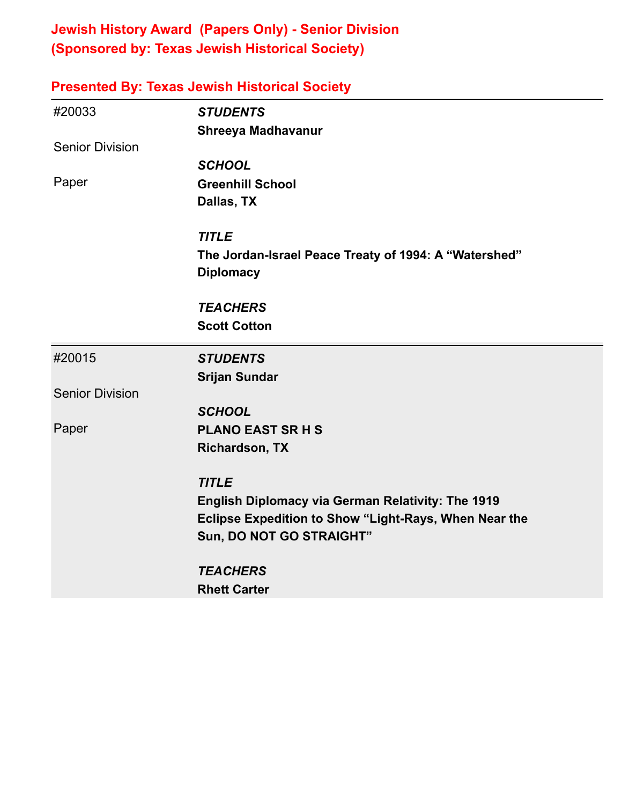### **Jewish History Award (Papers Only) - Senior Division (Sponsored by: Texas Jewish Historical Society)**

| <b>Presented By: Texas Jewish Historical Society</b> |                                                          |
|------------------------------------------------------|----------------------------------------------------------|
| #20033                                               | <b>STUDENTS</b>                                          |
|                                                      | Shreeya Madhavanur                                       |
| <b>Senior Division</b>                               |                                                          |
|                                                      | <b>SCHOOL</b>                                            |
| Paper                                                | <b>Greenhill School</b>                                  |
|                                                      | Dallas, TX                                               |
|                                                      | <b>TITLE</b>                                             |
|                                                      | The Jordan-Israel Peace Treaty of 1994: A "Watershed"    |
|                                                      | <b>Diplomacy</b>                                         |
|                                                      | <b>TEACHERS</b>                                          |
|                                                      | <b>Scott Cotton</b>                                      |
| #20015                                               | <b>STUDENTS</b>                                          |
|                                                      | <b>Srijan Sundar</b>                                     |
| <b>Senior Division</b>                               |                                                          |
|                                                      | <b>SCHOOL</b>                                            |
| Paper                                                | <b>PLANO EAST SR H S</b>                                 |
|                                                      | <b>Richardson, TX</b>                                    |
|                                                      | <b>TITLE</b>                                             |
|                                                      | <b>English Diplomacy via German Relativity: The 1919</b> |
|                                                      | Eclipse Expedition to Show "Light-Rays, When Near the    |
|                                                      | Sun, DO NOT GO STRAIGHT"                                 |
|                                                      | <b>TEACHERS</b>                                          |
|                                                      | <b>Rhett Carter</b>                                      |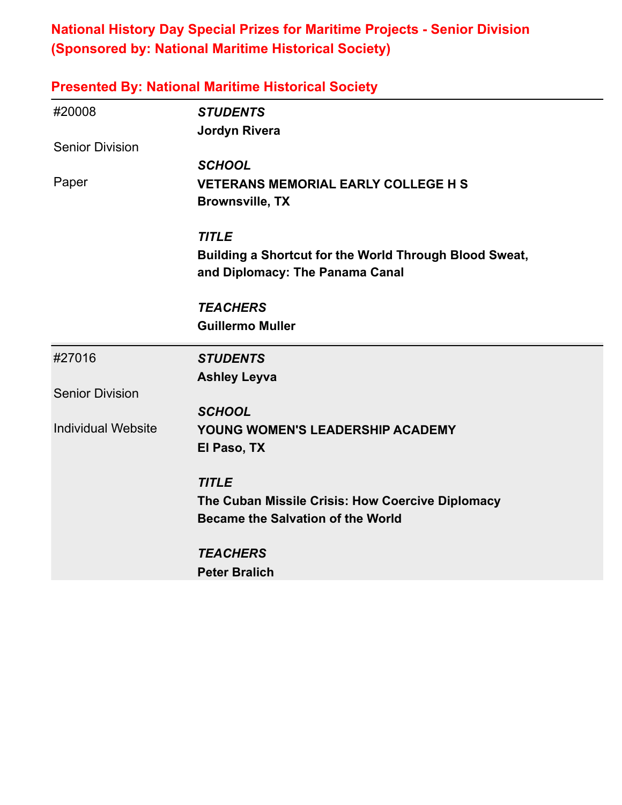### **National History Day Special Prizes for Maritime Projects - Senior Division (Sponsored by: National Maritime Historical Society)**

| <b>Presented By: National Maritime Historical Society</b> |                                                        |
|-----------------------------------------------------------|--------------------------------------------------------|
| #20008                                                    | <b>STUDENTS</b>                                        |
|                                                           | <b>Jordyn Rivera</b>                                   |
| <b>Senior Division</b>                                    |                                                        |
|                                                           | <b>SCHOOL</b>                                          |
| Paper                                                     | <b>VETERANS MEMORIAL EARLY COLLEGE H S</b>             |
|                                                           | <b>Brownsville, TX</b>                                 |
|                                                           | <b>TITLE</b>                                           |
|                                                           | Building a Shortcut for the World Through Blood Sweat, |
|                                                           | and Diplomacy: The Panama Canal                        |
|                                                           | <b>TEACHERS</b>                                        |
|                                                           | <b>Guillermo Muller</b>                                |
| #27016                                                    | <b>STUDENTS</b>                                        |
|                                                           | <b>Ashley Leyva</b>                                    |
| <b>Senior Division</b>                                    |                                                        |
|                                                           | <b>SCHOOL</b>                                          |
| <b>Individual Website</b>                                 | YOUNG WOMEN'S LEADERSHIP ACADEMY                       |
|                                                           | El Paso, TX                                            |
|                                                           | <b>TITLE</b>                                           |
|                                                           | The Cuban Missile Crisis: How Coercive Diplomacy       |
|                                                           | <b>Became the Salvation of the World</b>               |
|                                                           | <b>TEACHERS</b>                                        |
|                                                           | <b>Peter Bralich</b>                                   |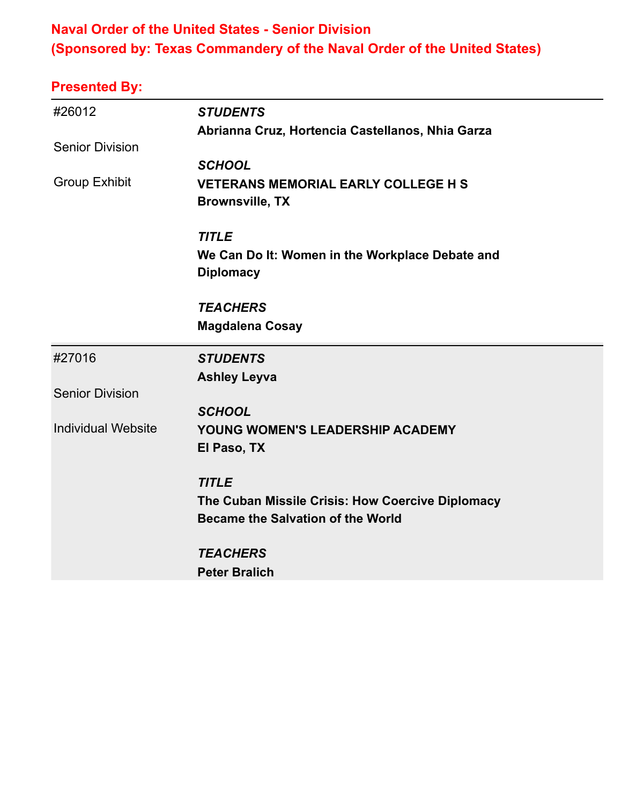### **Naval Order of the United States - Senior Division (Sponsored by: Texas Commandery of the Naval Order of the United States)**

| #26012                    | <b>STUDENTS</b>                                  |
|---------------------------|--------------------------------------------------|
|                           | Abrianna Cruz, Hortencia Castellanos, Nhia Garza |
| <b>Senior Division</b>    |                                                  |
|                           | <b>SCHOOL</b>                                    |
| <b>Group Exhibit</b>      | <b>VETERANS MEMORIAL EARLY COLLEGE H S</b>       |
|                           | <b>Brownsville, TX</b>                           |
|                           | <b>TITLE</b>                                     |
|                           | We Can Do It: Women in the Workplace Debate and  |
|                           | <b>Diplomacy</b>                                 |
|                           | <b>TEACHERS</b>                                  |
|                           | <b>Magdalena Cosay</b>                           |
|                           |                                                  |
| #27016                    | <b>STUDENTS</b>                                  |
|                           | <b>Ashley Leyva</b>                              |
| <b>Senior Division</b>    |                                                  |
|                           | <b>SCHOOL</b>                                    |
| <b>Individual Website</b> | YOUNG WOMEN'S LEADERSHIP ACADEMY                 |
|                           | El Paso, TX                                      |
|                           | <b>TITLE</b>                                     |
|                           | The Cuban Missile Crisis: How Coercive Diplomacy |
|                           | <b>Became the Salvation of the World</b>         |
|                           | <b>TEACHERS</b>                                  |
|                           | <b>Peter Bralich</b>                             |
|                           |                                                  |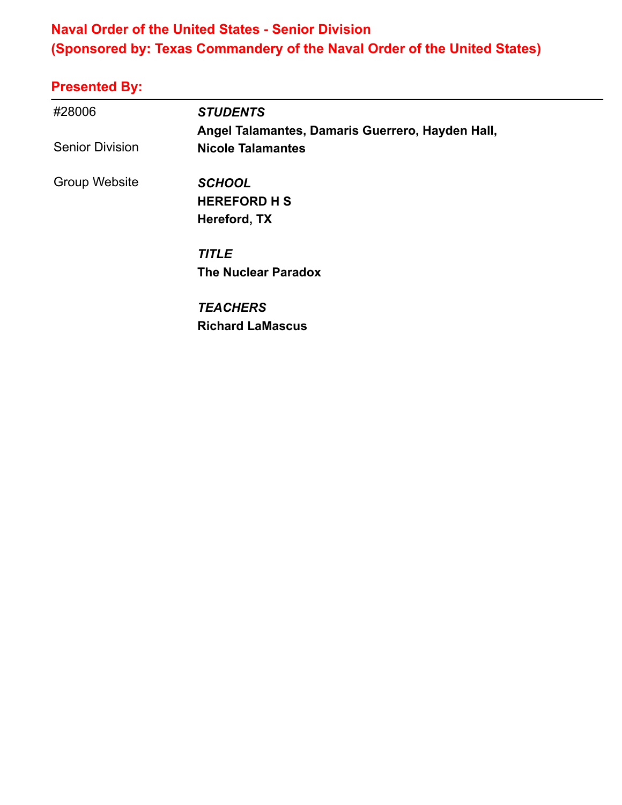### **Naval Order of the United States - Senior Division (Sponsored by: Texas Commandery of the Naval Order of the United States)**

| #28006                 | <b>STUDENTS</b>                                                              |  |
|------------------------|------------------------------------------------------------------------------|--|
| <b>Senior Division</b> | Angel Talamantes, Damaris Guerrero, Hayden Hall,<br><b>Nicole Talamantes</b> |  |
| Group Website          | <b>SCHOOL</b><br><b>HEREFORD H S</b><br>Hereford, TX                         |  |
|                        | <b>TITLE</b><br><b>The Nuclear Paradox</b>                                   |  |
|                        | <b>TEACHERS</b><br><b>Richard LaMascus</b>                                   |  |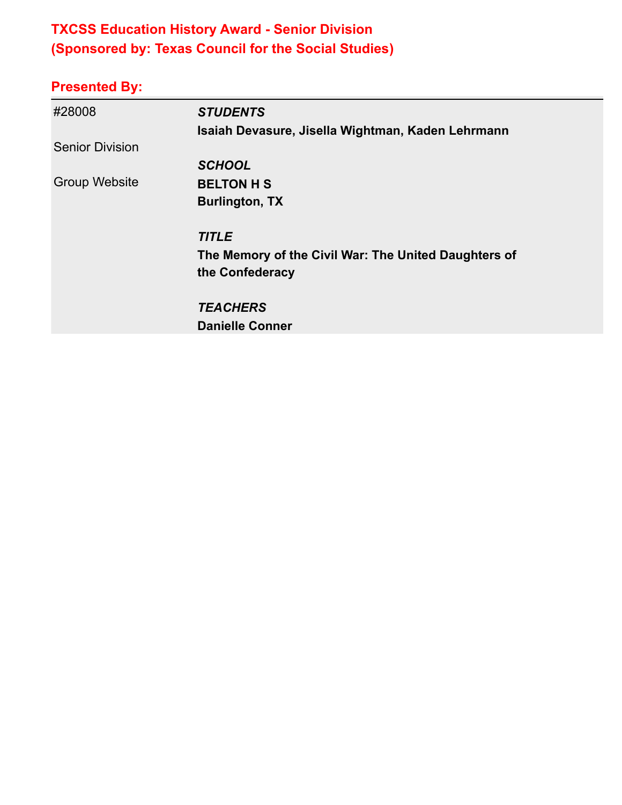# **TXCSS Education History Award - Senior Division (Sponsored by: Texas Council for the Social Studies)**

| #28008                 | <b>STUDENTS</b><br>Isaiah Devasure, Jisella Wightman, Kaden Lehrmann    |
|------------------------|-------------------------------------------------------------------------|
| <b>Senior Division</b> |                                                                         |
|                        | <b>SCHOOL</b>                                                           |
| <b>Group Website</b>   | <b>BELTON H S</b>                                                       |
|                        | <b>Burlington, TX</b>                                                   |
|                        | <b>TITLE</b>                                                            |
|                        | The Memory of the Civil War: The United Daughters of<br>the Confederacy |
|                        | <b>TEACHERS</b>                                                         |
|                        | <b>Danielle Conner</b>                                                  |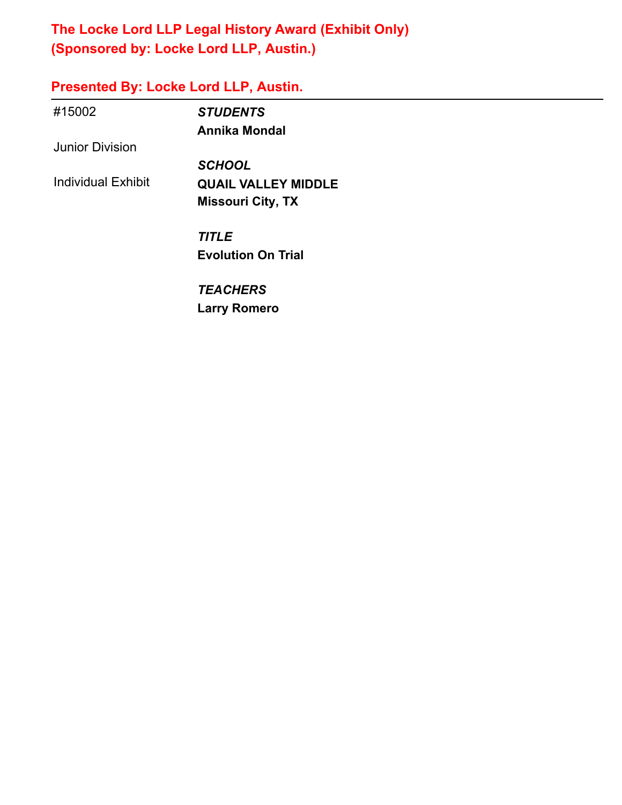### **The Locke Lord LLP Legal History Award (Exhibit Only) (Sponsored by: Locke Lord LLP, Austin.)**

# **Presented By: Locke Lord LLP, Austin.**

| #15002                    | <b>STUDENTS</b>            |  |
|---------------------------|----------------------------|--|
|                           | <b>Annika Mondal</b>       |  |
| <b>Junior Division</b>    |                            |  |
|                           | <b>SCHOOL</b>              |  |
| <b>Individual Exhibit</b> | <b>QUAIL VALLEY MIDDLE</b> |  |
|                           | <b>Missouri City, TX</b>   |  |
|                           | <b>TITLE</b>               |  |
|                           | <b>Evolution On Trial</b>  |  |
|                           | <b>TEACHERS</b>            |  |
|                           | <b>Larry Romero</b>        |  |